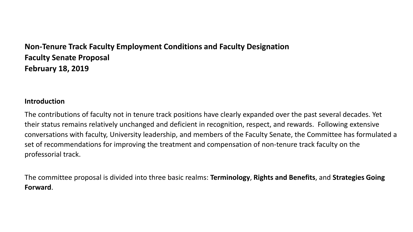# **Non-Tenure Track Faculty Employment Conditions and Faculty Designation Faculty Senate Proposal February 18, 2019**

## **Introduction**

The contributions of faculty not in tenure track positions have clearly expanded over the past several decades. Yet their status remains relatively unchanged and deficient in recognition, respect, and rewards. Following extensive conversations with faculty, University leadership, and members of the Faculty Senate, the Committee has formulated a set of recommendations for improving the treatment and compensation of non-tenure track faculty on the professorial track.

The committee proposal is divided into three basic realms: **Terminology**, **Rights and Benefits**, and **Strategies Going Forward**.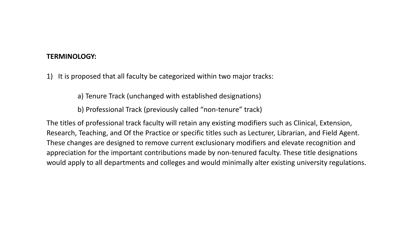#### **TERMINOLOGY:**

1) It is proposed that all faculty be categorized within two major tracks:

a) Tenure Track (unchanged with established designations)

b) Professional Track (previously called "non-tenure" track)

The titles of professional track faculty will retain any existing modifiers such as Clinical, Extension, Research, Teaching, and Of the Practice or specific titles such as Lecturer, Librarian, and Field Agent. These changes are designed to remove current exclusionary modifiers and elevate recognition and appreciation for the important contributions made by non-tenured faculty. These title designations would apply to all departments and colleges and would minimally alter existing university regulations.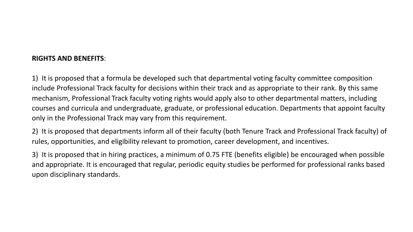### **RIGHTS AND BENEFITS**:

1) It is proposed that a formula be developed such that departmental voting faculty committee composition include Professional Track faculty for decisions within their track and as appropriate to their rank. By this same mechanism, Professional Track faculty voting rights would apply also to other departmental matters, including courses and curricula and undergraduate, graduate, or professional education. Departments that appoint faculty only in the Professional Track may vary from this requirement.

2) It is proposed that departments inform all of their faculty (both Tenure Track and Professional Track faculty) of rules, opportunities, and eligibility relevant to promotion, career development, and incentives.

3) It is proposed that in hiring practices, a minimum of 0.75 FTE (benefits eligible) be encouraged when possible and appropriate. It is encouraged that regular, periodic equity studies be performed for professional ranks based upon disciplinary standards.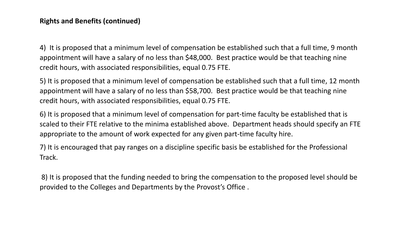### **Rights and Benefits (continued)**

4) It is proposed that a minimum level of compensation be established such that a full time, 9 month appointment will have a salary of no less than \$48,000. Best practice would be that teaching nine credit hours, with associated responsibilities, equal 0.75 FTE.

5) It is proposed that a minimum level of compensation be established such that a full time, 12 month appointment will have a salary of no less than \$58,700. Best practice would be that teaching nine credit hours, with associated responsibilities, equal 0.75 FTE.

6) It is proposed that a minimum level of compensation for part-time faculty be established that is scaled to their FTE relative to the minima established above. Department heads should specify an FTE appropriate to the amount of work expected for any given part-time faculty hire.

7) It is encouraged that pay ranges on a discipline specific basis be established for the Professional Track.

8) It is proposed that the funding needed to bring the compensation to the proposed level should be provided to the Colleges and Departments by the Provost's Office .